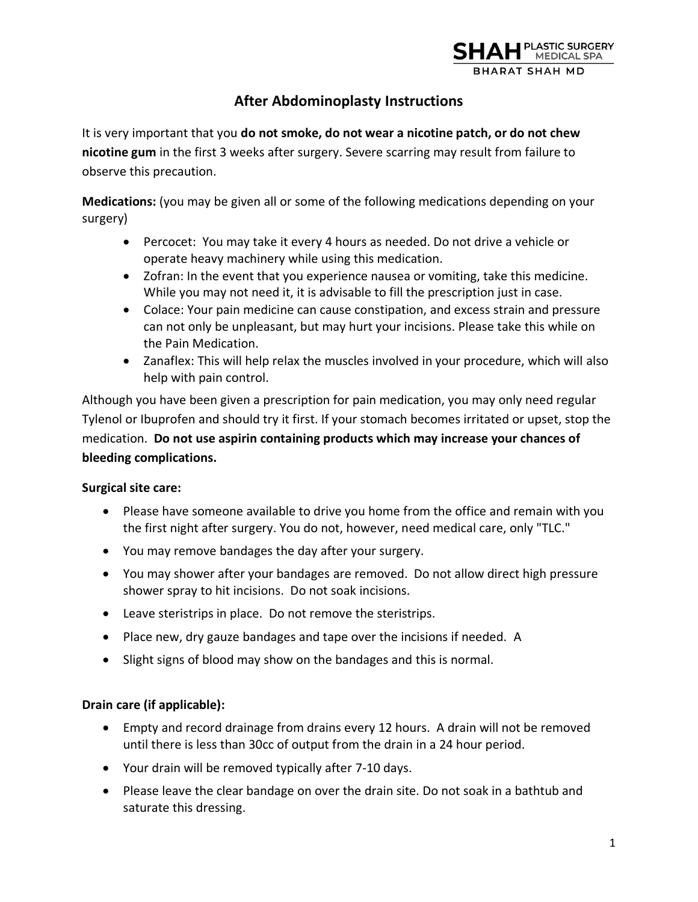

# **After Abdominoplasty Instructions**

It is very important that you **do not smoke, do not wear a nicotine patch, or do not chew nicotine gum** in the first 3 weeks after surgery. Severe scarring may result from failure to observe this precaution.

**Medications:** (you may be given all or some of the following medications depending on your surgery)

- Percocet: You may take it every 4 hours as needed. Do not drive a vehicle or operate heavy machinery while using this medication.
- Zofran: In the event that you experience nausea or vomiting, take this medicine. While you may not need it, it is advisable to fill the prescription just in case.
- Colace: Your pain medicine can cause constipation, and excess strain and pressure can not only be unpleasant, but may hurt your incisions. Please take this while on the Pain Medication.
- Zanaflex: This will help relax the muscles involved in your procedure, which will also help with pain control.

Although you have been given a prescription for pain medication, you may only need regular Tylenol or Ibuprofen and should try it first. If your stomach becomes irritated or upset, stop the medication. **Do not use aspirin containing products which may increase your chances of bleeding complications.** 

## **Surgical site care:**

- Please have someone available to drive you home from the office and remain with you the first night after surgery. You do not, however, need medical care, only "TLC."
- You may remove bandages the day after your surgery.
- You may shower after your bandages are removed. Do not allow direct high pressure shower spray to hit incisions. Do not soak incisions.
- Leave steristrips in place. Do not remove the steristrips.
- Place new, dry gauze bandages and tape over the incisions if needed. A
- Slight signs of blood may show on the bandages and this is normal.

## **Drain care (if applicable):**

- Empty and record drainage from drains every 12 hours. A drain will not be removed until there is less than 30cc of output from the drain in a 24 hour period.
- Your drain will be removed typically after 7-10 days.
- Please leave the clear bandage on over the drain site. Do not soak in a bathtub and saturate this dressing.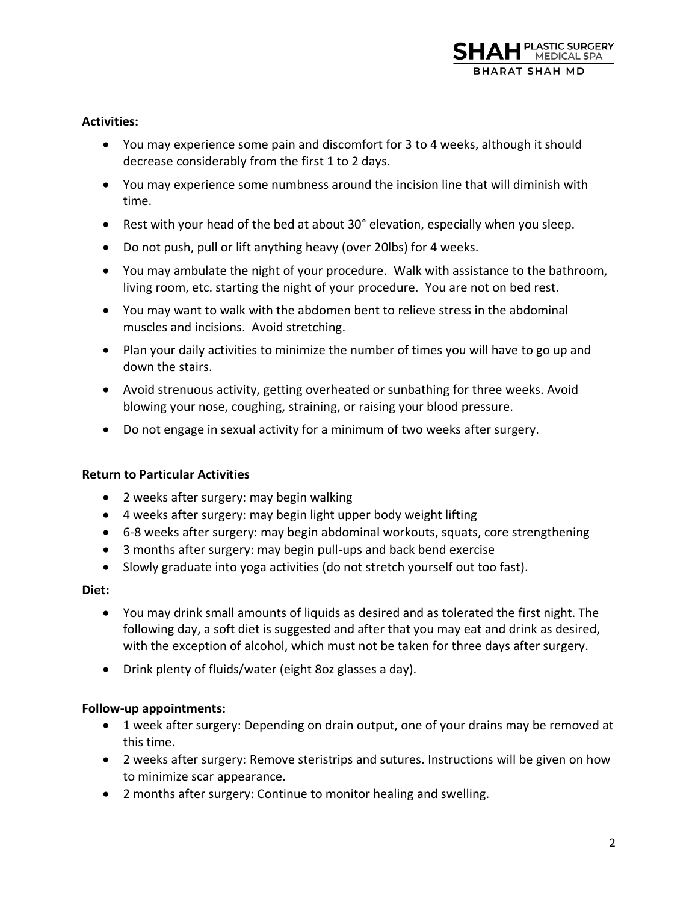

### **Activities:**

- You may experience some pain and discomfort for 3 to 4 weeks, although it should decrease considerably from the first 1 to 2 days.
- You may experience some numbness around the incision line that will diminish with time.
- Rest with your head of the bed at about 30° elevation, especially when you sleep.
- Do not push, pull or lift anything heavy (over 20lbs) for 4 weeks.
- You may ambulate the night of your procedure. Walk with assistance to the bathroom, living room, etc. starting the night of your procedure. You are not on bed rest.
- You may want to walk with the abdomen bent to relieve stress in the abdominal muscles and incisions. Avoid stretching.
- Plan your daily activities to minimize the number of times you will have to go up and down the stairs.
- Avoid strenuous activity, getting overheated or sunbathing for three weeks. Avoid blowing your nose, coughing, straining, or raising your blood pressure.
- Do not engage in sexual activity for a minimum of two weeks after surgery.

### **Return to Particular Activities**

- 2 weeks after surgery: may begin walking
- 4 weeks after surgery: may begin light upper body weight lifting
- 6-8 weeks after surgery: may begin abdominal workouts, squats, core strengthening
- 3 months after surgery: may begin pull-ups and back bend exercise
- Slowly graduate into yoga activities (do not stretch yourself out too fast).

#### **Diet:**

- You may drink small amounts of liquids as desired and as tolerated the first night. The following day, a soft diet is suggested and after that you may eat and drink as desired, with the exception of alcohol, which must not be taken for three days after surgery.
- Drink plenty of fluids/water (eight 8oz glasses a day).

### **Follow-up appointments:**

- 1 week after surgery: Depending on drain output, one of your drains may be removed at this time.
- 2 weeks after surgery: Remove steristrips and sutures. Instructions will be given on how to minimize scar appearance.
- 2 months after surgery: Continue to monitor healing and swelling.